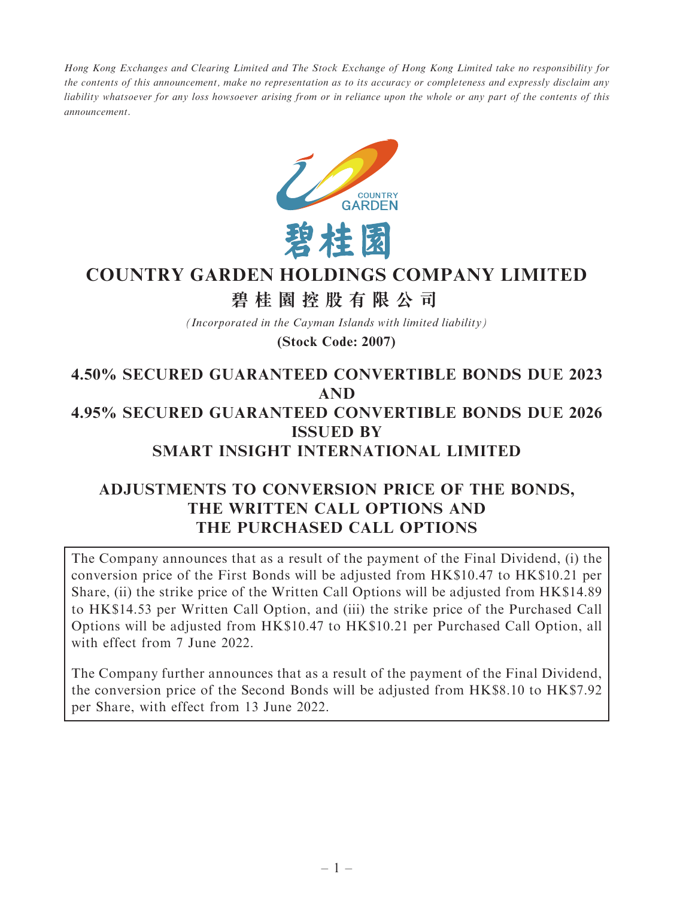Hong Kong Exchanges and Clearing Limited and The Stock Exchange of Hong Kong Limited take no responsibility for the contents of this announcement, make no representation as to its accuracy or completeness and expressly disclaim any liability whatsoever for any loss howsoever arising from or in reliance upon the whole or any part of the contents of this announcement.



# **COUNTRY GARDEN HOLDINGS COMPANY LIMITED**

# **碧桂園控股有限公司**

*(Incorporated in the Cayman Islands with limited liability)*

### **(Stock Code: 2007)**

## 4.50% SECURED GUARANTEED CONVERTIBLE BONDS DUE 2023 AND 4.95% SECURED GUARANTEED CONVERTIBLE BONDS DUE 2026 ISSUED BY SMART INSIGHT INTERNATIONAL LIMITED

## ADJUSTMENTS TO CONVERSION PRICE OF THE BONDS, THE WRITTEN CALL OPTIONS AND THE PURCHASED CALL OPTIONS

The Company announces that as a result of the payment of the Final Dividend, (i) the conversion price of the First Bonds will be adjusted from HK\$10.47 to HK\$10.21 per Share, (ii) the strike price of the Written Call Options will be adjusted from HK\$14.89 to HK\$14.53 per Written Call Option, and (iii) the strike price of the Purchased Call Options will be adjusted from HK\$10.47 to HK\$10.21 per Purchased Call Option, all with effect from 7 June 2022.

The Company further announces that as a result of the payment of the Final Dividend, the conversion price of the Second Bonds will be adjusted from HK\$8.10 to HK\$7.92 per Share, with effect from 13 June 2022.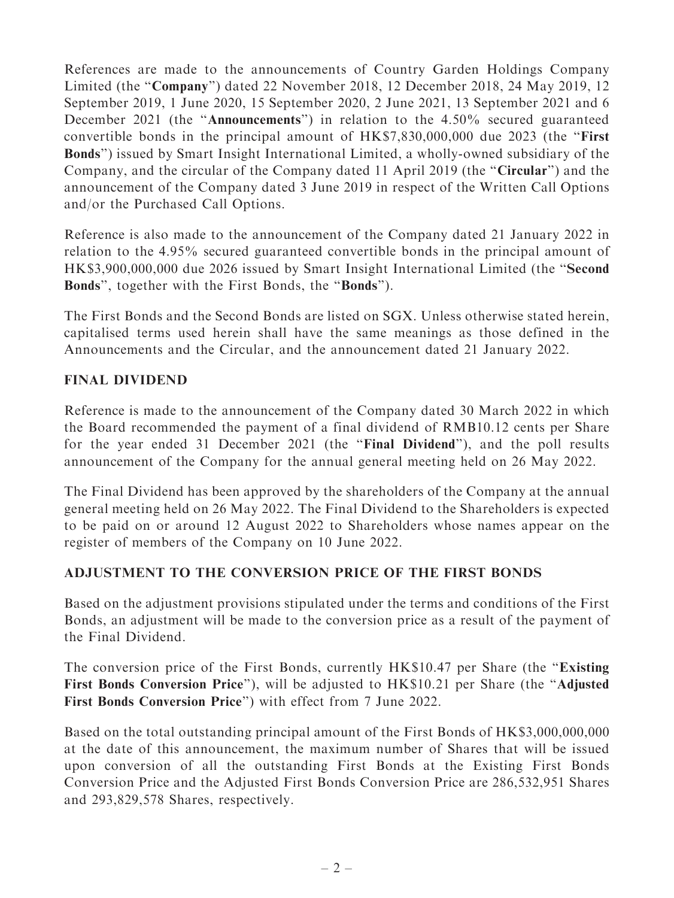References are made to the announcements of Country Garden Holdings Company Limited (the ''Company'') dated 22 November 2018, 12 December 2018, 24 May 2019, 12 September 2019, 1 June 2020, 15 September 2020, 2 June 2021, 13 September 2021 and 6 December 2021 (the "Announcements") in relation to the 4.50% secured guaranteed convertible bonds in the principal amount of HK\$7,830,000,000 due 2023 (the ''First Bonds'') issued by Smart Insight International Limited, a wholly-owned subsidiary of the Company, and the circular of the Company dated 11 April 2019 (the ''Circular'') and the announcement of the Company dated 3 June 2019 in respect of the Written Call Options and/or the Purchased Call Options.

Reference is also made to the announcement of the Company dated 21 January 2022 in relation to the 4.95% secured guaranteed convertible bonds in the principal amount of HK\$3,900,000,000 due 2026 issued by Smart Insight International Limited (the ''Second Bonds'', together with the First Bonds, the ''Bonds'').

The First Bonds and the Second Bonds are listed on SGX. Unless otherwise stated herein, capitalised terms used herein shall have the same meanings as those defined in the Announcements and the Circular, and the announcement dated 21 January 2022.

## FINAL DIVIDEND

Reference is made to the announcement of the Company dated 30 March 2022 in which the Board recommended the payment of a final dividend of RMB10.12 cents per Share for the year ended 31 December 2021 (the "Final Dividend"), and the poll results announcement of the Company for the annual general meeting held on 26 May 2022.

The Final Dividend has been approved by the shareholders of the Company at the annual general meeting held on 26 May 2022. The Final Dividend to the Shareholders is expected to be paid on or around 12 August 2022 to Shareholders whose names appear on the register of members of the Company on 10 June 2022.

### ADJUSTMENT TO THE CONVERSION PRICE OF THE FIRST BONDS

Based on the adjustment provisions stipulated under the terms and conditions of the First Bonds, an adjustment will be made to the conversion price as a result of the payment of the Final Dividend.

The conversion price of the First Bonds, currently HK\$10.47 per Share (the ''Existing First Bonds Conversion Price"), will be adjusted to HK\$10.21 per Share (the "Adjusted First Bonds Conversion Price'') with effect from 7 June 2022.

Based on the total outstanding principal amount of the First Bonds of HK\$3,000,000,000 at the date of this announcement, the maximum number of Shares that will be issued upon conversion of all the outstanding First Bonds at the Existing First Bonds Conversion Price and the Adjusted First Bonds Conversion Price are 286,532,951 Shares and 293,829,578 Shares, respectively.